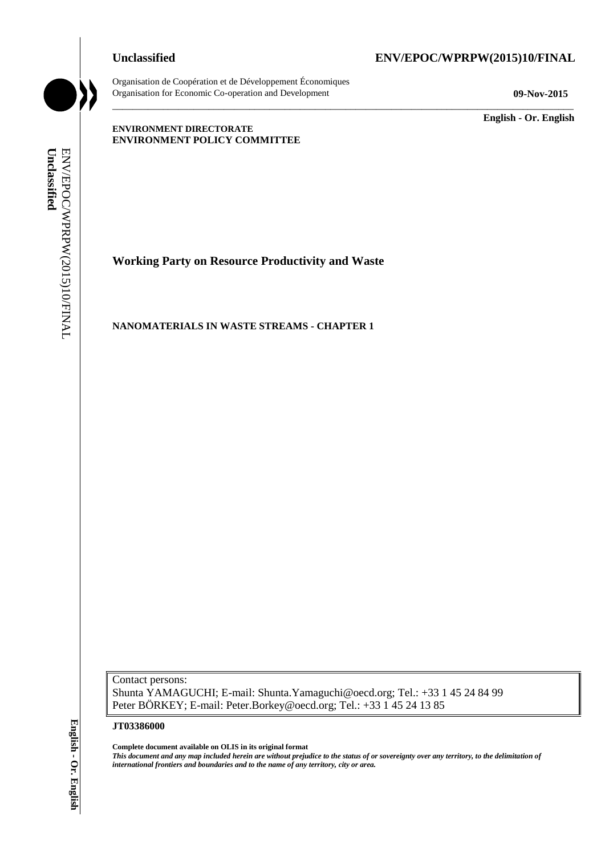

Organisation de Coopération et de Développement Économiques Organisation for Economic Co-operation and Development **09-Nov-2015**

\_\_\_\_\_\_\_\_\_\_\_\_\_\_\_\_\_\_\_\_\_\_\_\_\_\_\_\_\_\_\_\_\_\_\_\_\_\_\_\_\_\_\_\_\_\_\_\_\_\_\_\_\_\_\_\_\_\_\_\_\_\_\_\_\_\_\_\_\_\_\_\_\_\_\_\_\_\_\_\_\_\_\_\_\_\_\_\_\_\_\_

\_\_\_\_\_\_\_\_\_\_\_\_\_ **English - Or. English**

### **ENVIRONMENT DIRECTORATE ENVIRONMENT POLICY COMMITTEE**

**Working Party on Resource Productivity and Waste**

**NANOMATERIALS IN WASTE STREAMS - CHAPTER 1**

Contact persons:

Shunta YAMAGUCHI; E-mail: Shunta.Yamaguchi@oecd.org; Tel.: +33 1 45 24 84 99 Peter BÖRKEY; E-mail: Peter.Borkey@oecd.org; Tel.: +33 1 45 24 13 85 **iii. International frontiers and boundaries and for anits or area. CHAPTER 1**<br> **International frontiers and boundaries and boundaries and to the name of any territory, city or area.**<br> **Contact persons:**<br> **Contact pers** 

**JT03386000**

**Complete document available on OLIS in its original format**

*This document and any map included herein are without prejudice to the status of or sovereignty over any territory, to the delimitation of*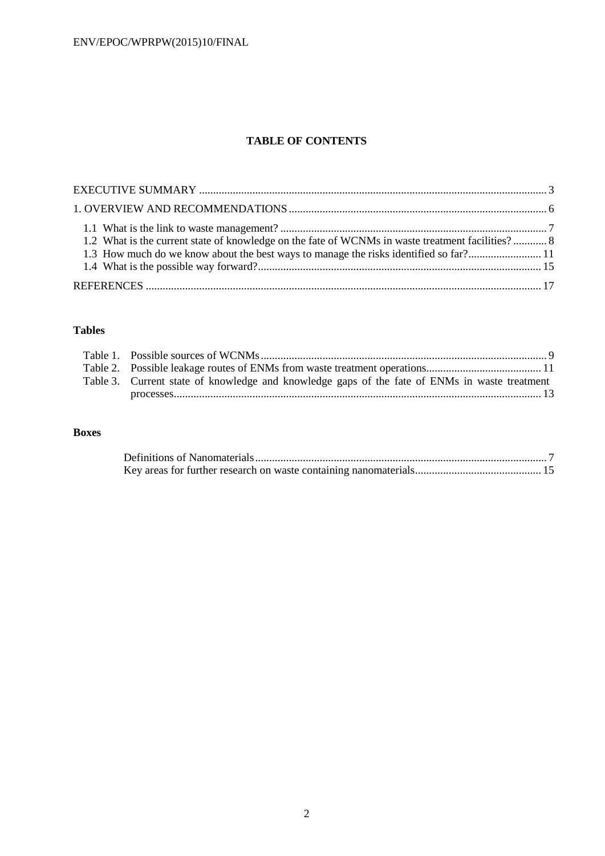# **TABLE OF CONTENTS**

| 1.2 What is the current state of knowledge on the fate of WCNMs in waste treatment facilities? 8 |  |
|--------------------------------------------------------------------------------------------------|--|
|                                                                                                  |  |
|                                                                                                  |  |

# **Tables**

| Table 3. Current state of knowledge and knowledge gaps of the fate of ENMs in waste treatment |  |
|-----------------------------------------------------------------------------------------------|--|
|                                                                                               |  |

# **Boxes**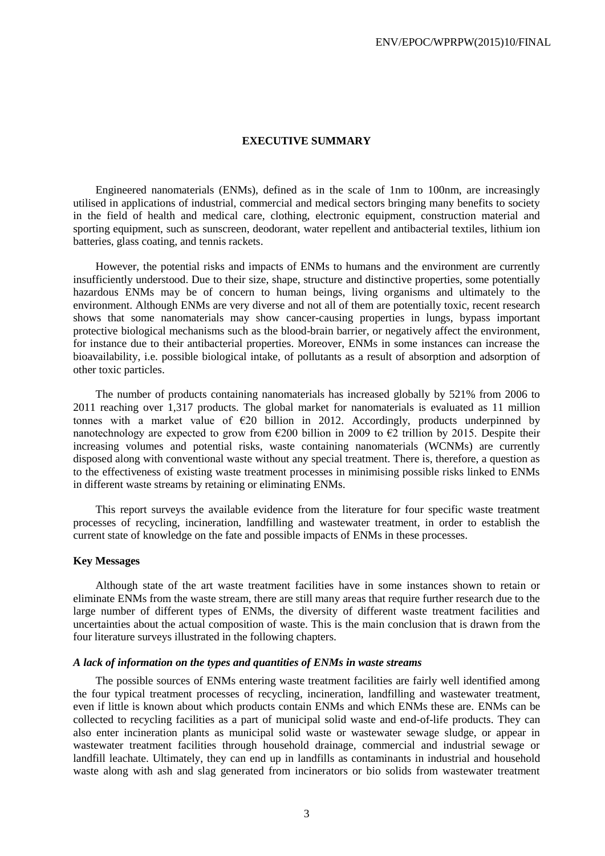## **EXECUTIVE SUMMARY**

Engineered nanomaterials (ENMs), defined as in the scale of 1nm to 100nm, are increasingly utilised in applications of industrial, commercial and medical sectors bringing many benefits to society in the field of health and medical care, clothing, electronic equipment, construction material and sporting equipment, such as sunscreen, deodorant, water repellent and antibacterial textiles, lithium ion batteries, glass coating, and tennis rackets.

However, the potential risks and impacts of ENMs to humans and the environment are currently insufficiently understood. Due to their size, shape, structure and distinctive properties, some potentially hazardous ENMs may be of concern to human beings, living organisms and ultimately to the environment. Although ENMs are very diverse and not all of them are potentially toxic, recent research shows that some nanomaterials may show cancer-causing properties in lungs, bypass important protective biological mechanisms such as the blood-brain barrier, or negatively affect the environment, for instance due to their antibacterial properties. Moreover, ENMs in some instances can increase the bioavailability, i.e. possible biological intake, of pollutants as a result of absorption and adsorption of other toxic particles.

The number of products containing nanomaterials has increased globally by 521% from 2006 to 2011 reaching over 1,317 products. The global market for nanomaterials is evaluated as 11 million tonnes with a market value of  $\epsilon$ 20 billion in 2012. Accordingly, products underpinned by nanotechnology are expected to grow from  $\epsilon$ 200 billion in 2009 to  $\epsilon$ 2 trillion by 2015. Despite their increasing volumes and potential risks, waste containing nanomaterials (WCNMs) are currently disposed along with conventional waste without any special treatment. There is, therefore, a question as to the effectiveness of existing waste treatment processes in minimising possible risks linked to ENMs in different waste streams by retaining or eliminating ENMs.

This report surveys the available evidence from the literature for four specific waste treatment processes of recycling, incineration, landfilling and wastewater treatment, in order to establish the current state of knowledge on the fate and possible impacts of ENMs in these processes.

## **Key Messages**

Although state of the art waste treatment facilities have in some instances shown to retain or eliminate ENMs from the waste stream, there are still many areas that require further research due to the large number of different types of ENMs, the diversity of different waste treatment facilities and uncertainties about the actual composition of waste. This is the main conclusion that is drawn from the four literature surveys illustrated in the following chapters.

## *A lack of information on the types and quantities of ENMs in waste streams*

The possible sources of ENMs entering waste treatment facilities are fairly well identified among the four typical treatment processes of recycling, incineration, landfilling and wastewater treatment, even if little is known about which products contain ENMs and which ENMs these are. ENMs can be collected to recycling facilities as a part of municipal solid waste and end-of-life products. They can also enter incineration plants as municipal solid waste or wastewater sewage sludge, or appear in wastewater treatment facilities through household drainage, commercial and industrial sewage or landfill leachate. Ultimately, they can end up in landfills as contaminants in industrial and household waste along with ash and slag generated from incinerators or bio solids from wastewater treatment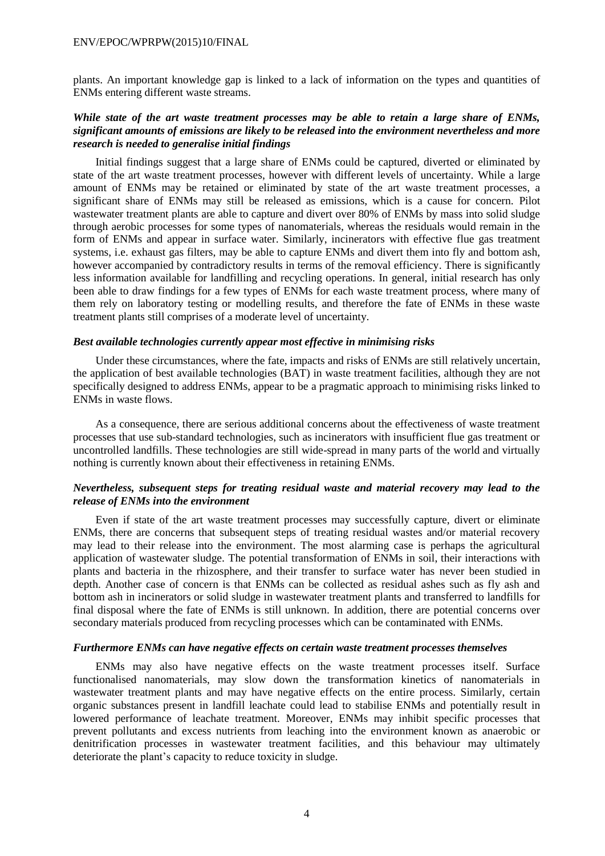plants. An important knowledge gap is linked to a lack of information on the types and quantities of ENMs entering different waste streams.

## *While state of the art waste treatment processes may be able to retain a large share of ENMs, significant amounts of emissions are likely to be released into the environment nevertheless and more research is needed to generalise initial findings*

Initial findings suggest that a large share of ENMs could be captured, diverted or eliminated by state of the art waste treatment processes, however with different levels of uncertainty. While a large amount of ENMs may be retained or eliminated by state of the art waste treatment processes, a significant share of ENMs may still be released as emissions, which is a cause for concern. Pilot wastewater treatment plants are able to capture and divert over 80% of ENMs by mass into solid sludge through aerobic processes for some types of nanomaterials, whereas the residuals would remain in the form of ENMs and appear in surface water. Similarly, incinerators with effective flue gas treatment systems, i.e. exhaust gas filters, may be able to capture ENMs and divert them into fly and bottom ash, however accompanied by contradictory results in terms of the removal efficiency. There is significantly less information available for landfilling and recycling operations. In general, initial research has only been able to draw findings for a few types of ENMs for each waste treatment process, where many of them rely on laboratory testing or modelling results, and therefore the fate of ENMs in these waste treatment plants still comprises of a moderate level of uncertainty.

#### *Best available technologies currently appear most effective in minimising risks*

Under these circumstances, where the fate, impacts and risks of ENMs are still relatively uncertain, the application of best available technologies (BAT) in waste treatment facilities, although they are not specifically designed to address ENMs, appear to be a pragmatic approach to minimising risks linked to ENMs in waste flows.

As a consequence, there are serious additional concerns about the effectiveness of waste treatment processes that use sub-standard technologies, such as incinerators with insufficient flue gas treatment or uncontrolled landfills. These technologies are still wide-spread in many parts of the world and virtually nothing is currently known about their effectiveness in retaining ENMs.

## *Nevertheless, subsequent steps for treating residual waste and material recovery may lead to the release of ENMs into the environment*

Even if state of the art waste treatment processes may successfully capture, divert or eliminate ENMs, there are concerns that subsequent steps of treating residual wastes and/or material recovery may lead to their release into the environment. The most alarming case is perhaps the agricultural application of wastewater sludge. The potential transformation of ENMs in soil, their interactions with plants and bacteria in the rhizosphere, and their transfer to surface water has never been studied in depth. Another case of concern is that ENMs can be collected as residual ashes such as fly ash and bottom ash in incinerators or solid sludge in wastewater treatment plants and transferred to landfills for final disposal where the fate of ENMs is still unknown. In addition, there are potential concerns over secondary materials produced from recycling processes which can be contaminated with ENMs.

#### *Furthermore ENMs can have negative effects on certain waste treatment processes themselves*

ENMs may also have negative effects on the waste treatment processes itself. Surface functionalised nanomaterials, may slow down the transformation kinetics of nanomaterials in wastewater treatment plants and may have negative effects on the entire process. Similarly, certain organic substances present in landfill leachate could lead to stabilise ENMs and potentially result in lowered performance of leachate treatment. Moreover, ENMs may inhibit specific processes that prevent pollutants and excess nutrients from leaching into the environment known as anaerobic or denitrification processes in wastewater treatment facilities, and this behaviour may ultimately deteriorate the plant's capacity to reduce toxicity in sludge.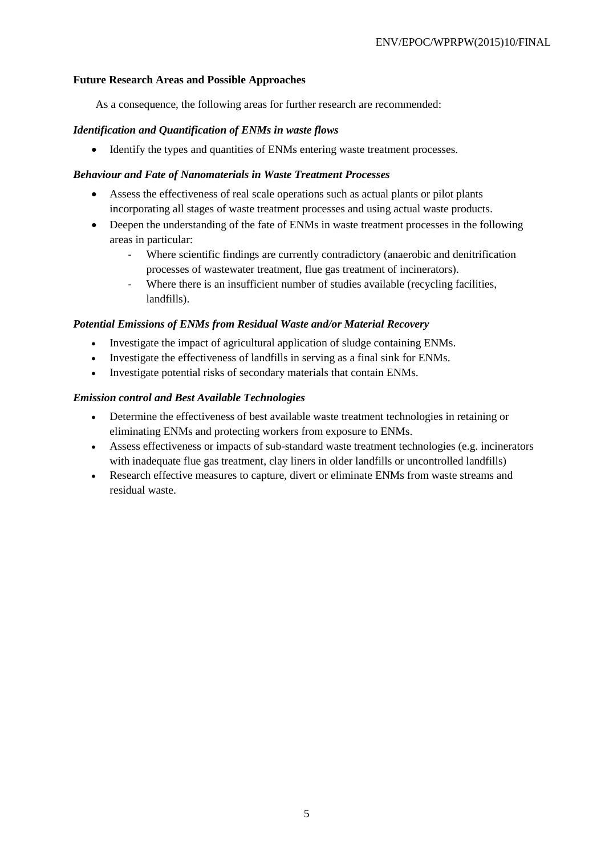## **Future Research Areas and Possible Approaches**

As a consequence, the following areas for further research are recommended:

## *Identification and Quantification of ENMs in waste flows*

• Identify the types and quantities of ENMs entering waste treatment processes.

## *Behaviour and Fate of Nanomaterials in Waste Treatment Processes*

- Assess the effectiveness of real scale operations such as actual plants or pilot plants incorporating all stages of waste treatment processes and using actual waste products.
- Deepen the understanding of the fate of ENMs in waste treatment processes in the following areas in particular:
	- Where scientific findings are currently contradictory (anaerobic and denitrification processes of wastewater treatment, flue gas treatment of incinerators).
	- Where there is an insufficient number of studies available (recycling facilities, landfills).

# *Potential Emissions of ENMs from Residual Waste and/or Material Recovery*

- Investigate the impact of agricultural application of sludge containing ENMs.
- Investigate the effectiveness of landfills in serving as a final sink for ENMs.
- Investigate potential risks of secondary materials that contain ENMs.

## *Emission control and Best Available Technologies*

- Determine the effectiveness of best available waste treatment technologies in retaining or eliminating ENMs and protecting workers from exposure to ENMs.
- Assess effectiveness or impacts of sub-standard waste treatment technologies (e.g. incinerators with inadequate flue gas treatment, clay liners in older landfills or uncontrolled landfills)
- Research effective measures to capture, divert or eliminate ENMs from waste streams and residual waste.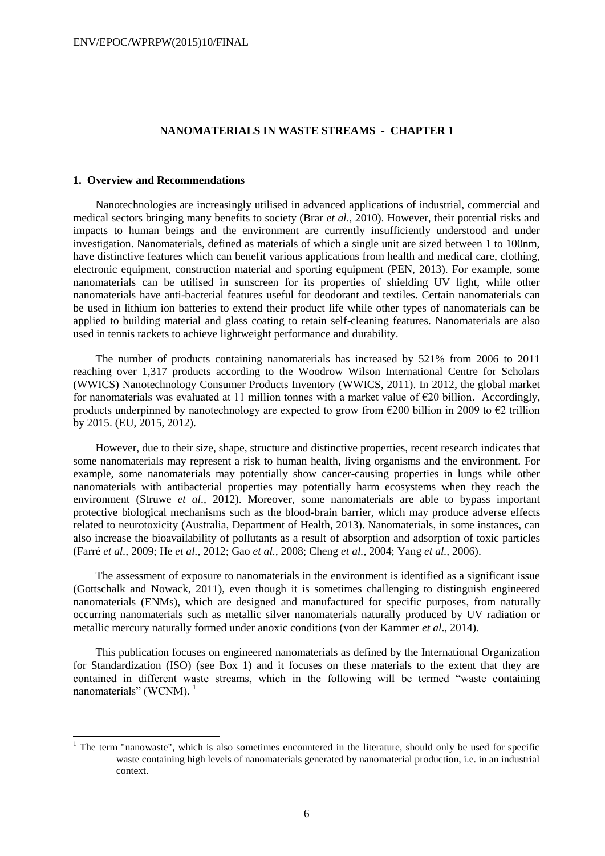## **NANOMATERIALS IN WASTE STREAMS - CHAPTER 1**

#### **1. Overview and Recommendations**

1

Nanotechnologies are increasingly utilised in advanced applications of industrial, commercial and medical sectors bringing many benefits to society (Brar *et al*., 2010). However, their potential risks and impacts to human beings and the environment are currently insufficiently understood and under investigation. Nanomaterials, defined as materials of which a single unit are sized between 1 to 100nm, have distinctive features which can benefit various applications from health and medical care, clothing, electronic equipment, construction material and sporting equipment (PEN, 2013). For example, some nanomaterials can be utilised in sunscreen for its properties of shielding UV light, while other nanomaterials have anti-bacterial features useful for deodorant and textiles. Certain nanomaterials can be used in lithium ion batteries to extend their product life while other types of nanomaterials can be applied to building material and glass coating to retain self-cleaning features. Nanomaterials are also used in tennis rackets to achieve lightweight performance and durability.

The number of products containing nanomaterials has increased by 521% from 2006 to 2011 reaching over 1,317 products according to the Woodrow Wilson International Centre for Scholars (WWICS) Nanotechnology Consumer Products Inventory (WWICS, 2011). In 2012, the global market for nanomaterials was evaluated at 11 million tonnes with a market value of  $\epsilon$ 20 billion. Accordingly, products underpinned by nanotechnology are expected to grow from  $\epsilon$ 200 billion in 2009 to  $\epsilon$ 2 trillion by 2015. (EU, 2015, 2012).

However, due to their size, shape, structure and distinctive properties, recent research indicates that some nanomaterials may represent a risk to human health, living organisms and the environment. For example, some nanomaterials may potentially show cancer-causing properties in lungs while other nanomaterials with antibacterial properties may potentially harm ecosystems when they reach the environment (Struwe *et al*., 2012). Moreover, some nanomaterials are able to bypass important protective biological mechanisms such as the blood-brain barrier, which may produce adverse effects related to neurotoxicity (Australia, Department of Health, 2013). Nanomaterials, in some instances, can also increase the bioavailability of pollutants as a result of absorption and adsorption of toxic particles (Farré *et al.,* 2009; He *et al.,* 2012; Gao *et al.,* 2008; Cheng *et al.,* 2004; Yang *et al.,* 2006).

The assessment of exposure to nanomaterials in the environment is identified as a significant issue (Gottschalk and Nowack, 2011), even though it is sometimes challenging to distinguish engineered nanomaterials (ENMs), which are designed and manufactured for specific purposes, from naturally occurring nanomaterials such as metallic silver nanomaterials naturally produced by UV radiation or metallic mercury naturally formed under anoxic conditions (von der Kammer *et al*., 2014).

This publication focuses on engineered nanomaterials as defined by the International Organization for Standardization (ISO) (see Box 1) and it focuses on these materials to the extent that they are contained in different waste streams, which in the following will be termed "waste containing nanomaterials" (WCNM).<sup>1</sup>

<sup>&</sup>lt;sup>1</sup> The term "nanowaste", which is also sometimes encountered in the literature, should only be used for specific waste containing high levels of nanomaterials generated by nanomaterial production, i.e. in an industrial context.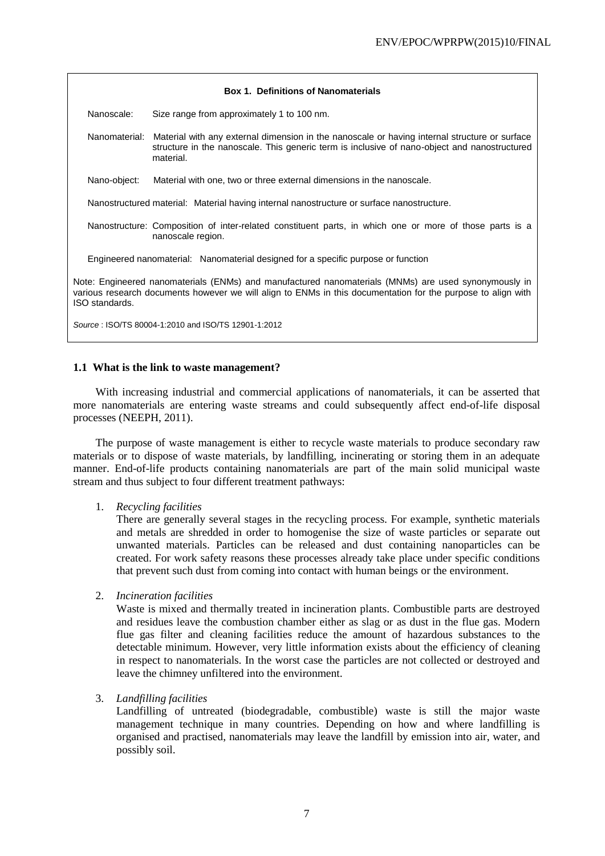| <b>Box 1. Definitions of Nanomaterials</b>                                                                                                                                                                                             |                                                                                                                                                                                                                          |  |  |
|----------------------------------------------------------------------------------------------------------------------------------------------------------------------------------------------------------------------------------------|--------------------------------------------------------------------------------------------------------------------------------------------------------------------------------------------------------------------------|--|--|
| Nanoscale:                                                                                                                                                                                                                             | Size range from approximately 1 to 100 nm.                                                                                                                                                                               |  |  |
|                                                                                                                                                                                                                                        | Nanomaterial: Material with any external dimension in the nanoscale or having internal structure or surface<br>structure in the nanoscale. This generic term is inclusive of nano-object and nanostructured<br>material. |  |  |
| Nano-object:                                                                                                                                                                                                                           | Material with one, two or three external dimensions in the nanoscale.                                                                                                                                                    |  |  |
|                                                                                                                                                                                                                                        | Nanostructured material: Material having internal nanostructure or surface nanostructure.                                                                                                                                |  |  |
|                                                                                                                                                                                                                                        | Nanostructure: Composition of inter-related constituent parts, in which one or more of those parts is a<br>nanoscale region.                                                                                             |  |  |
|                                                                                                                                                                                                                                        | Engineered nanomaterial: Nanomaterial designed for a specific purpose or function                                                                                                                                        |  |  |
| Note: Engineered nanomaterials (ENMs) and manufactured nanomaterials (MNMs) are used synonymously in<br>various research documents however we will align to ENMs in this documentation for the purpose to align with<br>ISO standards. |                                                                                                                                                                                                                          |  |  |
| Source: ISO/TS 80004-1:2010 and ISO/TS 12901-1:2012                                                                                                                                                                                    |                                                                                                                                                                                                                          |  |  |

## **1.1 What is the link to waste management?**

With increasing industrial and commercial applications of nanomaterials, it can be asserted that more nanomaterials are entering waste streams and could subsequently affect end-of-life disposal processes (NEEPH, 2011).

The purpose of waste management is either to recycle waste materials to produce secondary raw materials or to dispose of waste materials, by landfilling, incinerating or storing them in an adequate manner. End-of-life products containing nanomaterials are part of the main solid municipal waste stream and thus subject to four different treatment pathways:

## 1. *Recycling facilities*

There are generally several stages in the recycling process. For example, synthetic materials and metals are shredded in order to homogenise the size of waste particles or separate out unwanted materials. Particles can be released and dust containing nanoparticles can be created. For work safety reasons these processes already take place under specific conditions that prevent such dust from coming into contact with human beings or the environment.

2. *Incineration facilities*

Waste is mixed and thermally treated in incineration plants. Combustible parts are destroyed and residues leave the combustion chamber either as slag or as dust in the flue gas. Modern flue gas filter and cleaning facilities reduce the amount of hazardous substances to the detectable minimum. However, very little information exists about the efficiency of cleaning in respect to nanomaterials. In the worst case the particles are not collected or destroyed and leave the chimney unfiltered into the environment.

## 3. *Landfilling facilities*

Landfilling of untreated (biodegradable, combustible) waste is still the major waste management technique in many countries. Depending on how and where landfilling is organised and practised, nanomaterials may leave the landfill by emission into air, water, and possibly soil.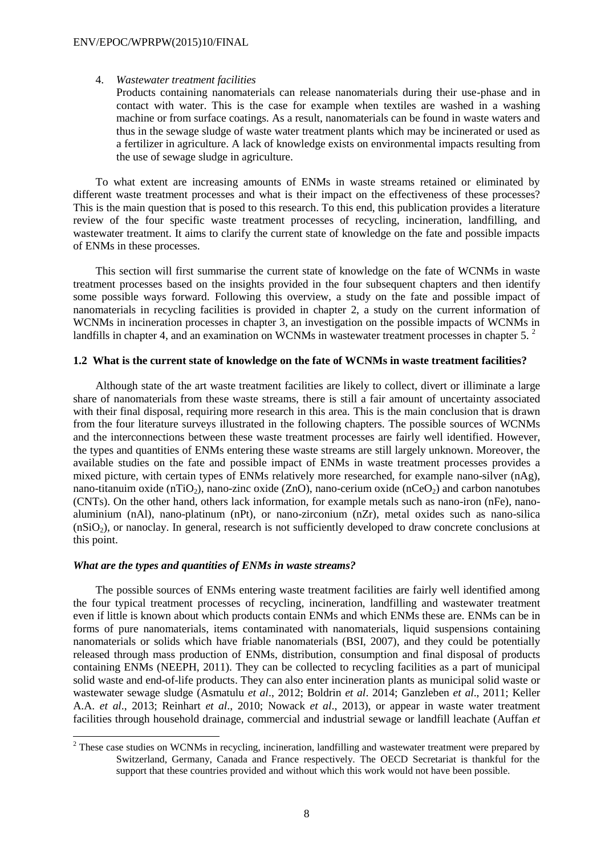#### 4. *Wastewater treatment facilities*

Products containing nanomaterials can release nanomaterials during their use-phase and in contact with water. This is the case for example when textiles are washed in a washing machine or from surface coatings. As a result, nanomaterials can be found in waste waters and thus in the sewage sludge of waste water treatment plants which may be incinerated or used as a fertilizer in agriculture. A lack of knowledge exists on environmental impacts resulting from the use of sewage sludge in agriculture.

To what extent are increasing amounts of ENMs in waste streams retained or eliminated by different waste treatment processes and what is their impact on the effectiveness of these processes? This is the main question that is posed to this research. To this end, this publication provides a literature review of the four specific waste treatment processes of recycling, incineration, landfilling, and wastewater treatment. It aims to clarify the current state of knowledge on the fate and possible impacts of ENMs in these processes.

This section will first summarise the current state of knowledge on the fate of WCNMs in waste treatment processes based on the insights provided in the four subsequent chapters and then identify some possible ways forward. Following this overview, a study on the fate and possible impact of nanomaterials in recycling facilities is provided in chapter 2, a study on the current information of WCNMs in incineration processes in chapter 3, an investigation on the possible impacts of WCNMs in landfills in chapter 4, and an examination on WCNMs in wastewater treatment processes in chapter 5.<sup>2</sup>

## **1.2 What is the current state of knowledge on the fate of WCNMs in waste treatment facilities?**

Although state of the art waste treatment facilities are likely to collect, divert or illiminate a large share of nanomaterials from these waste streams, there is still a fair amount of uncertainty associated with their final disposal, requiring more research in this area. This is the main conclusion that is drawn from the four literature surveys illustrated in the following chapters. The possible sources of WCNMs and the interconnections between these waste treatment processes are fairly well identified. However, the types and quantities of ENMs entering these waste streams are still largely unknown. Moreover, the available studies on the fate and possible impact of ENMs in waste treatment processes provides a mixed picture, with certain types of ENMs relatively more researched, for example nano-silver (nAg), nano-titanuim oxide (nTiO<sub>2</sub>), nano-zinc oxide (ZnO), nano-cerium oxide (nCeO<sub>2</sub>) and carbon nanotubes (CNTs). On the other hand, others lack information, for example metals such as nano-iron (nFe), nanoaluminium (nAl), nano-platinum (nPt), or nano-zirconium (nZr), metal oxides such as nano-silica  $(nSiO<sub>2</sub>)$ , or nanoclay. In general, research is not sufficiently developed to draw concrete conclusions at this point.

## *What are the types and quantities of ENMs in waste streams?*

1

The possible sources of ENMs entering waste treatment facilities are fairly well identified among the four typical treatment processes of recycling, incineration, landfilling and wastewater treatment even if little is known about which products contain ENMs and which ENMs these are. ENMs can be in forms of pure nanomaterials, items contaminated with nanomaterials, liquid suspensions containing nanomaterials or solids which have friable nanomaterials (BSI, 2007), and they could be potentially released through mass production of ENMs, distribution, consumption and final disposal of products containing ENMs (NEEPH, 2011). They can be collected to recycling facilities as a part of municipal solid waste and end-of-life products. They can also enter incineration plants as municipal solid waste or wastewater sewage sludge (Asmatulu *et al*., 2012; Boldrin *et al*. 2014; Ganzleben *et al*., 2011; Keller A.A. *et al*., 2013; Reinhart *et al*., 2010; Nowack *et al*., 2013), or appear in waste water treatment facilities through household drainage, commercial and industrial sewage or landfill leachate (Auffan *et* 

<sup>&</sup>lt;sup>2</sup> These case studies on WCNMs in recycling, incineration, landfilling and wastewater treatment were prepared by Switzerland, Germany, Canada and France respectively. The OECD Secretariat is thankful for the support that these countries provided and without which this work would not have been possible.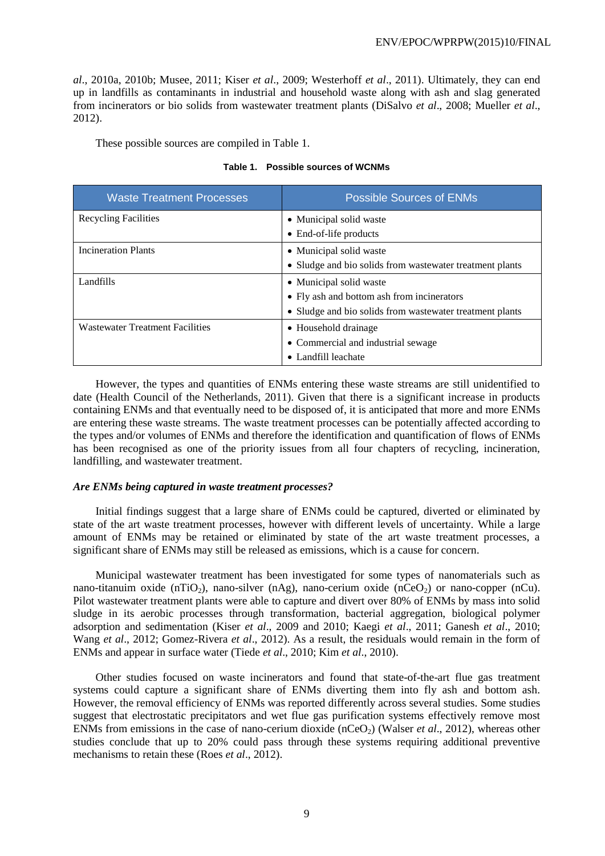*al*., 2010a, 2010b; Musee, 2011; Kiser *et al*., 2009; Westerhoff *et al*., 2011). Ultimately, they can end up in landfills as contaminants in industrial and household waste along with ash and slag generated from incinerators or bio solids from wastewater treatment plants (DiSalvo *et al*., 2008; Mueller *et al*., 2012).

These possible sources are compiled in Table 1.

| <b>Waste Treatment Processes</b>       | <b>Possible Sources of ENMs</b>                                                                                                    |
|----------------------------------------|------------------------------------------------------------------------------------------------------------------------------------|
| <b>Recycling Facilities</b>            | • Municipal solid waste                                                                                                            |
| <b>Incineration Plants</b>             | • End-of-life products<br>• Municipal solid waste<br>• Sludge and bio solids from was tewater treatment plants                     |
| Landfills                              | • Municipal solid waste<br>• Fly ash and bottom ash from incinerators<br>• Sludge and bio solids from was tewater treatment plants |
| <b>Wastewater Treatment Facilities</b> | • Household drainage<br>• Commercial and industrial sewage<br>• Landfill leachate                                                  |

#### **Table 1. Possible sources of WCNMs**

However, the types and quantities of ENMs entering these waste streams are still unidentified to date (Health Council of the Netherlands, 2011). Given that there is a significant increase in products containing ENMs and that eventually need to be disposed of, it is anticipated that more and more ENMs are entering these waste streams. The waste treatment processes can be potentially affected according to the types and/or volumes of ENMs and therefore the identification and quantification of flows of ENMs has been recognised as one of the priority issues from all four chapters of recycling, incineration, landfilling, and wastewater treatment.

#### *Are ENMs being captured in waste treatment processes?*

Initial findings suggest that a large share of ENMs could be captured, diverted or eliminated by state of the art waste treatment processes, however with different levels of uncertainty. While a large amount of ENMs may be retained or eliminated by state of the art waste treatment processes, a significant share of ENMs may still be released as emissions, which is a cause for concern.

Municipal wastewater treatment has been investigated for some types of nanomaterials such as nano-titanuim oxide (nTiO<sub>2</sub>), nano-silver (nAg), nano-cerium oxide (nCeO<sub>2</sub>) or nano-copper (nCu). Pilot wastewater treatment plants were able to capture and divert over 80% of ENMs by mass into solid sludge in its aerobic processes through transformation, bacterial aggregation, biological polymer adsorption and sedimentation (Kiser *et al*., 2009 and 2010; Kaegi *et al*., 2011; Ganesh *et al*., 2010; Wang *et al*., 2012; Gomez-Rivera *et al*., 2012). As a result, the residuals would remain in the form of ENMs and appear in surface water (Tiede *et al*., 2010; Kim *et al*., 2010).

Other studies focused on waste incinerators and found that state-of-the-art flue gas treatment systems could capture a significant share of ENMs diverting them into fly ash and bottom ash. However, the removal efficiency of ENMs was reported differently across several studies. Some studies suggest that electrostatic precipitators and wet flue gas purification systems effectively remove most ENMs from emissions in the case of nano-cerium dioxide (nCeO<sub>2</sub>) (Walser *et al.*, 2012), whereas other studies conclude that up to 20% could pass through these systems requiring additional preventive mechanisms to retain these (Roes *et al*., 2012).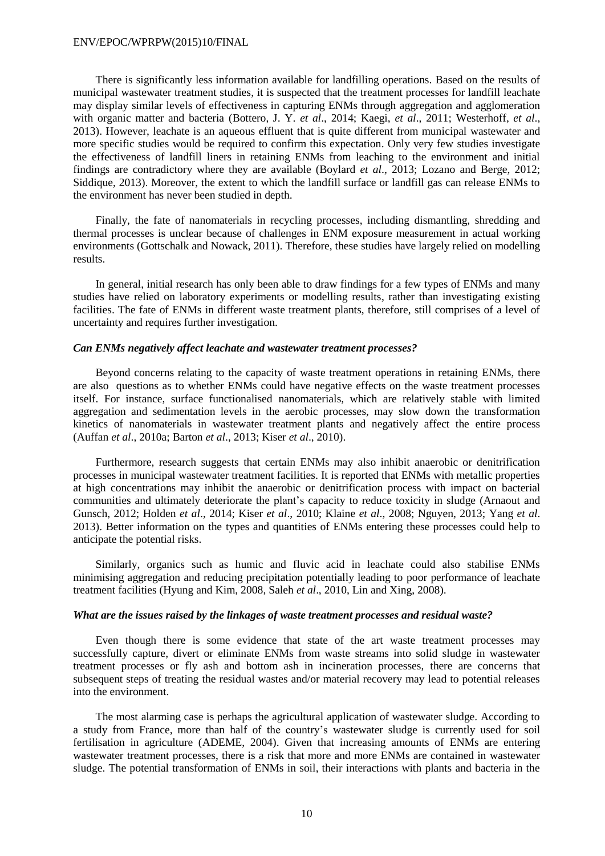There is significantly less information available for landfilling operations. Based on the results of municipal wastewater treatment studies, it is suspected that the treatment processes for landfill leachate may display similar levels of effectiveness in capturing ENMs through aggregation and agglomeration with organic matter and bacteria (Bottero, J. Y. *et al*., 2014; Kaegi, *et al*., 2011; Westerhoff, *et al*., 2013). However, leachate is an aqueous effluent that is quite different from municipal wastewater and more specific studies would be required to confirm this expectation. Only very few studies investigate the effectiveness of landfill liners in retaining ENMs from leaching to the environment and initial findings are contradictory where they are available (Boylard *et al*., 2013; Lozano and Berge, 2012; Siddique, 2013). Moreover, the extent to which the landfill surface or landfill gas can release ENMs to the environment has never been studied in depth.

Finally, the fate of nanomaterials in recycling processes, including dismantling, shredding and thermal processes is unclear because of challenges in ENM exposure measurement in actual working environments (Gottschalk and Nowack, 2011). Therefore, these studies have largely relied on modelling results.

In general, initial research has only been able to draw findings for a few types of ENMs and many studies have relied on laboratory experiments or modelling results, rather than investigating existing facilities. The fate of ENMs in different waste treatment plants, therefore, still comprises of a level of uncertainty and requires further investigation.

#### *Can ENMs negatively affect leachate and wastewater treatment processes?*

Beyond concerns relating to the capacity of waste treatment operations in retaining ENMs, there are also questions as to whether ENMs could have negative effects on the waste treatment processes itself. For instance, surface functionalised nanomaterials, which are relatively stable with limited aggregation and sedimentation levels in the aerobic processes, may slow down the transformation kinetics of nanomaterials in wastewater treatment plants and negatively affect the entire process (Auffan *et al*., 2010a; Barton *et al*., 2013; Kiser *et al*., 2010).

Furthermore, research suggests that certain ENMs may also inhibit anaerobic or denitrification processes in municipal wastewater treatment facilities. It is reported that ENMs with metallic properties at high concentrations may inhibit the anaerobic or denitrification process with impact on bacterial communities and ultimately deteriorate the plant's capacity to reduce toxicity in sludge (Arnaout and Gunsch, 2012; Holden *et al*., 2014; Kiser *et al*., 2010; Klaine *et al*., 2008; Nguyen, 2013; Yang *et al*. 2013). Better information on the types and quantities of ENMs entering these processes could help to anticipate the potential risks.

Similarly, organics such as humic and fluvic acid in leachate could also stabilise ENMs minimising aggregation and reducing precipitation potentially leading to poor performance of leachate treatment facilities (Hyung and Kim, 2008, Saleh *et al*., 2010, Lin and Xing, 2008).

#### *What are the issues raised by the linkages of waste treatment processes and residual waste?*

Even though there is some evidence that state of the art waste treatment processes may successfully capture, divert or eliminate ENMs from waste streams into solid sludge in wastewater treatment processes or fly ash and bottom ash in incineration processes, there are concerns that subsequent steps of treating the residual wastes and/or material recovery may lead to potential releases into the environment.

The most alarming case is perhaps the agricultural application of wastewater sludge. According to a study from France, more than half of the country's wastewater sludge is currently used for soil fertilisation in agriculture (ADEME, 2004). Given that increasing amounts of ENMs are entering wastewater treatment processes, there is a risk that more and more ENMs are contained in wastewater sludge. The potential transformation of ENMs in soil, their interactions with plants and bacteria in the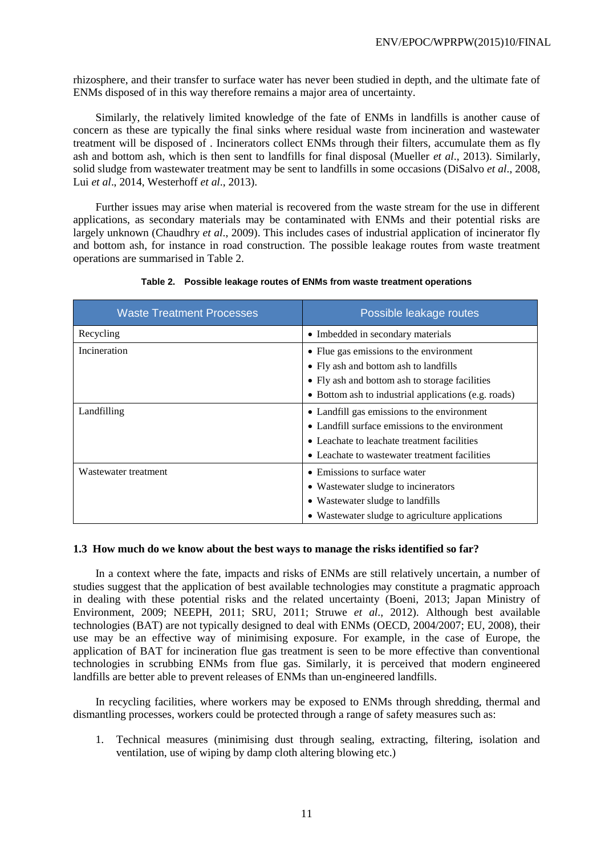rhizosphere, and their transfer to surface water has never been studied in depth, and the ultimate fate of ENMs disposed of in this way therefore remains a major area of uncertainty.

Similarly, the relatively limited knowledge of the fate of ENMs in landfills is another cause of concern as these are typically the final sinks where residual waste from incineration and wastewater treatment will be disposed of . Incinerators collect ENMs through their filters, accumulate them as fly ash and bottom ash, which is then sent to landfills for final disposal (Mueller *et al*., 2013). Similarly, solid sludge from wastewater treatment may be sent to landfills in some occasions (DiSalvo *et al*., 2008, Lui *et al*., 2014, Westerhoff *et al*., 2013).

Further issues may arise when material is recovered from the waste stream for the use in different applications, as secondary materials may be contaminated with ENMs and their potential risks are largely unknown (Chaudhry *et al*., 2009). This includes cases of industrial application of incinerator fly and bottom ash, for instance in road construction. The possible leakage routes from waste treatment operations are summarised in Table 2.

| <b>Waste Treatment Processes</b> | Possible leakage routes                              |  |  |
|----------------------------------|------------------------------------------------------|--|--|
| Recycling                        | • Imbedded in secondary materials                    |  |  |
| Incineration                     | • Flue gas emissions to the environment              |  |  |
|                                  | • Fly ash and bottom ash to landfills                |  |  |
|                                  | • Fly ash and bottom ash to storage facilities       |  |  |
|                                  | • Bottom ash to industrial applications (e.g. roads) |  |  |
| Landfilling                      | • Landfill gas emissions to the environment          |  |  |
|                                  | • Landfill surface emissions to the environment      |  |  |
|                                  | • Leachate to leachate treatment facilities          |  |  |
|                                  | • Leachate to wastewater treatment facilities        |  |  |
| Wastewater treatment             | • Emissions to surface water                         |  |  |
|                                  | • Wastewater sludge to incinerators                  |  |  |
|                                  | • Wastewater sludge to landfills                     |  |  |
|                                  | • Wastewater sludge to agriculture applications      |  |  |

**Table 2. Possible leakage routes of ENMs from waste treatment operations**

## **1.3 How much do we know about the best ways to manage the risks identified so far?**

In a context where the fate, impacts and risks of ENMs are still relatively uncertain, a number of studies suggest that the application of best available technologies may constitute a pragmatic approach in dealing with these potential risks and the related uncertainty (Boeni, 2013; Japan Ministry of Environment, 2009; NEEPH, 2011; SRU, 2011; Struwe *et al*., 2012). Although best available technologies (BAT) are not typically designed to deal with ENMs (OECD, 2004/2007; EU, 2008), their use may be an effective way of minimising exposure. For example, in the case of Europe, the application of BAT for incineration flue gas treatment is seen to be more effective than conventional technologies in scrubbing ENMs from flue gas. Similarly, it is perceived that modern engineered landfills are better able to prevent releases of ENMs than un-engineered landfills.

In recycling facilities, where workers may be exposed to ENMs through shredding, thermal and dismantling processes, workers could be protected through a range of safety measures such as:

1. Technical measures (minimising dust through sealing, extracting, filtering, isolation and ventilation, use of wiping by damp cloth altering blowing etc.)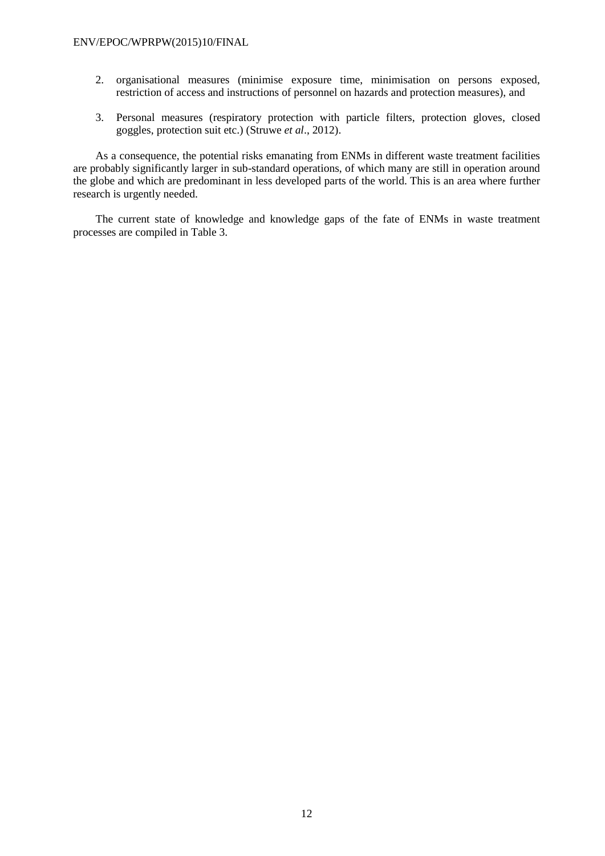- 2. organisational measures (minimise exposure time, minimisation on persons exposed, restriction of access and instructions of personnel on hazards and protection measures), and
- 3. Personal measures (respiratory protection with particle filters, protection gloves, closed goggles, protection suit etc.) (Struwe *et al*., 2012).

As a consequence, the potential risks emanating from ENMs in different waste treatment facilities are probably significantly larger in sub-standard operations, of which many are still in operation around the globe and which are predominant in less developed parts of the world. This is an area where further research is urgently needed.

The current state of knowledge and knowledge gaps of the fate of ENMs in waste treatment processes are compiled in Table 3.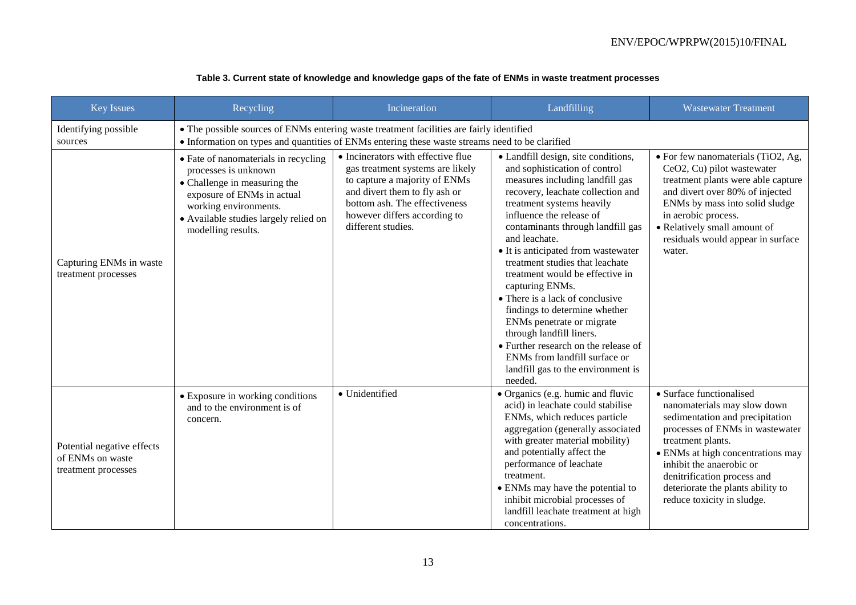| <b>Key Issues</b>                                                     | Recycling                                                                                                                                                                                                          | Incineration                                                                                                                                                                                                                    | Landfilling                                                                                                                                                                                                                                                                                                                                                                                                                                                                                                                                                                                                                                        | <b>Wastewater Treatment</b>                                                                                                                                                                                                                                                                                           |
|-----------------------------------------------------------------------|--------------------------------------------------------------------------------------------------------------------------------------------------------------------------------------------------------------------|---------------------------------------------------------------------------------------------------------------------------------------------------------------------------------------------------------------------------------|----------------------------------------------------------------------------------------------------------------------------------------------------------------------------------------------------------------------------------------------------------------------------------------------------------------------------------------------------------------------------------------------------------------------------------------------------------------------------------------------------------------------------------------------------------------------------------------------------------------------------------------------------|-----------------------------------------------------------------------------------------------------------------------------------------------------------------------------------------------------------------------------------------------------------------------------------------------------------------------|
| Identifying possible<br>sources                                       | • The possible sources of ENMs entering waste treatment facilities are fairly identified<br>• Information on types and quantities of ENMs entering these waste streams need to be clarified                        |                                                                                                                                                                                                                                 |                                                                                                                                                                                                                                                                                                                                                                                                                                                                                                                                                                                                                                                    |                                                                                                                                                                                                                                                                                                                       |
| Capturing ENMs in waste<br>treatment processes                        | • Fate of nanomaterials in recycling<br>processes is unknown<br>• Challenge in measuring the<br>exposure of ENMs in actual<br>working environments.<br>• Available studies largely relied on<br>modelling results. | • Incinerators with effective flue<br>gas treatment systems are likely<br>to capture a majority of ENMs<br>and divert them to fly ash or<br>bottom ash. The effectiveness<br>however differs according to<br>different studies. | • Landfill design, site conditions,<br>and sophistication of control<br>measures including landfill gas<br>recovery, leachate collection and<br>treatment systems heavily<br>influence the release of<br>contaminants through landfill gas<br>and leachate.<br>• It is anticipated from wastewater<br>treatment studies that leachate<br>treatment would be effective in<br>capturing ENMs.<br>• There is a lack of conclusive<br>findings to determine whether<br>ENMs penetrate or migrate<br>through landfill liners.<br>• Further research on the release of<br>ENMs from landfill surface or<br>landfill gas to the environment is<br>needed. | • For few nanomaterials (TiO2, Ag,<br>CeO2, Cu) pilot wastewater<br>treatment plants were able capture<br>and divert over 80% of injected<br>ENMs by mass into solid sludge<br>in aerobic process.<br>• Relatively small amount of<br>residuals would appear in surface<br>water.                                     |
| Potential negative effects<br>of ENMs on waste<br>treatment processes | • Exposure in working conditions<br>and to the environment is of<br>concern.                                                                                                                                       | · Unidentified                                                                                                                                                                                                                  | • Organics (e.g. humic and fluvic<br>acid) in leachate could stabilise<br>ENMs, which reduces particle<br>aggregation (generally associated<br>with greater material mobility)<br>and potentially affect the<br>performance of leachate<br>treatment.<br>• ENMs may have the potential to<br>inhibit microbial processes of<br>landfill leachate treatment at high<br>concentrations.                                                                                                                                                                                                                                                              | • Surface functionalised<br>nanomaterials may slow down<br>sedimentation and precipitation<br>processes of ENMs in wastewater<br>treatment plants.<br>• ENMs at high concentrations may<br>inhibit the anaerobic or<br>denitrification process and<br>deteriorate the plants ability to<br>reduce toxicity in sludge. |

## **Table 3. Current state of knowledge and knowledge gaps of the fate of ENMs in waste treatment processes**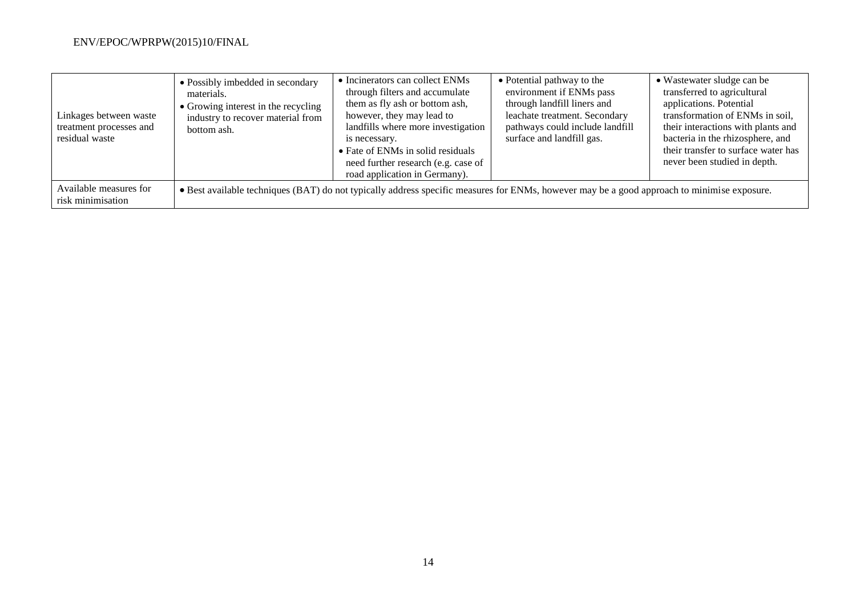| Linkages between waste<br>treatment processes and<br>residual waste | • Possibly imbedded in secondary<br>materials.<br>• Growing interest in the recycling<br>industry to recover material from<br>bottom ash.   | • Incinerators can collect ENMs<br>through filters and accumulate<br>them as fly ash or bottom ash,<br>however, they may lead to<br>landfills where more investigation<br>is necessary.<br>• Fate of ENMs in solid residuals<br>need further research (e.g. case of<br>road application in Germany). | • Potential pathway to the<br>environment if ENMs pass<br>through landfill liners and<br>leachate treatment. Secondary<br>pathways could include landfill<br>surface and landfill gas. | • Wastewater sludge can be<br>transferred to agricultural<br>applications. Potential<br>transformation of ENMs in soil,<br>their interactions with plants and<br>bacteria in the rhizosphere, and<br>their transfer to surface water has<br>never been studied in depth. |
|---------------------------------------------------------------------|---------------------------------------------------------------------------------------------------------------------------------------------|------------------------------------------------------------------------------------------------------------------------------------------------------------------------------------------------------------------------------------------------------------------------------------------------------|----------------------------------------------------------------------------------------------------------------------------------------------------------------------------------------|--------------------------------------------------------------------------------------------------------------------------------------------------------------------------------------------------------------------------------------------------------------------------|
| Available measures for<br>risk minimisation                         | • Best available techniques (BAT) do not typically address specific measures for ENMs, however may be a good approach to minimise exposure. |                                                                                                                                                                                                                                                                                                      |                                                                                                                                                                                        |                                                                                                                                                                                                                                                                          |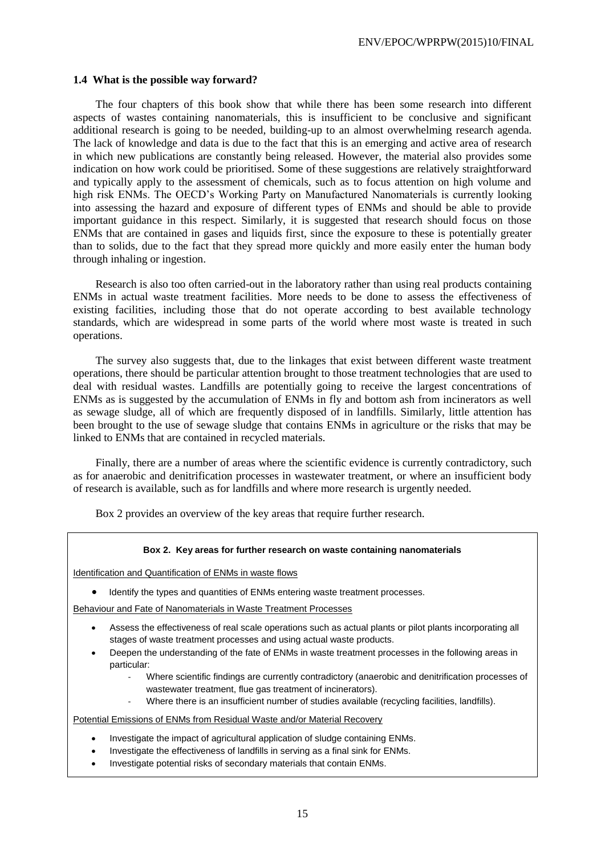## **1.4 What is the possible way forward?**

The four chapters of this book show that while there has been some research into different aspects of wastes containing nanomaterials, this is insufficient to be conclusive and significant additional research is going to be needed, building-up to an almost overwhelming research agenda. The lack of knowledge and data is due to the fact that this is an emerging and active area of research in which new publications are constantly being released. However, the material also provides some indication on how work could be prioritised. Some of these suggestions are relatively straightforward and typically apply to the assessment of chemicals, such as to focus attention on high volume and high risk ENMs. The OECD's Working Party on Manufactured Nanomaterials is currently looking into assessing the hazard and exposure of different types of ENMs and should be able to provide important guidance in this respect. Similarly, it is suggested that research should focus on those ENMs that are contained in gases and liquids first, since the exposure to these is potentially greater than to solids, due to the fact that they spread more quickly and more easily enter the human body through inhaling or ingestion.

Research is also too often carried-out in the laboratory rather than using real products containing ENMs in actual waste treatment facilities. More needs to be done to assess the effectiveness of existing facilities, including those that do not operate according to best available technology standards, which are widespread in some parts of the world where most waste is treated in such operations.

The survey also suggests that, due to the linkages that exist between different waste treatment operations, there should be particular attention brought to those treatment technologies that are used to deal with residual wastes. Landfills are potentially going to receive the largest concentrations of ENMs as is suggested by the accumulation of ENMs in fly and bottom ash from incinerators as well as sewage sludge, all of which are frequently disposed of in landfills. Similarly, little attention has been brought to the use of sewage sludge that contains ENMs in agriculture or the risks that may be linked to ENMs that are contained in recycled materials.

Finally, there are a number of areas where the scientific evidence is currently contradictory, such as for anaerobic and denitrification processes in wastewater treatment, or where an insufficient body of research is available, such as for landfills and where more research is urgently needed.

Box 2 provides an overview of the key areas that require further research.

#### **Box 2. Key areas for further research on waste containing nanomaterials**

Identification and Quantification of ENMs in waste flows

Identify the types and quantities of ENMs entering waste treatment processes.

Behaviour and Fate of Nanomaterials in Waste Treatment Processes

- Assess the effectiveness of real scale operations such as actual plants or pilot plants incorporating all stages of waste treatment processes and using actual waste products.
- Deepen the understanding of the fate of ENMs in waste treatment processes in the following areas in particular:
	- Where scientific findings are currently contradictory (anaerobic and denitrification processes of wastewater treatment, flue gas treatment of incinerators).
	- Where there is an insufficient number of studies available (recycling facilities, landfills).

Potential Emissions of ENMs from Residual Waste and/or Material Recovery

- Investigate the impact of agricultural application of sludge containing ENMs.
- Investigate the effectiveness of landfills in serving as a final sink for ENMs.
- Investigate potential risks of secondary materials that contain ENMs.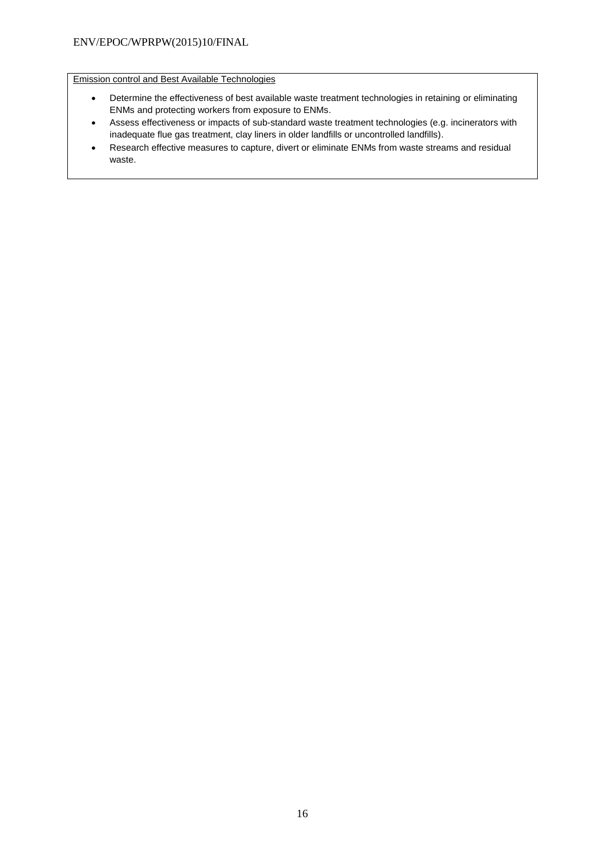## Emission control and Best Available Technologies

- Determine the effectiveness of best available waste treatment technologies in retaining or eliminating ENMs and protecting workers from exposure to ENMs.
- Assess effectiveness or impacts of sub-standard waste treatment technologies (e.g. incinerators with inadequate flue gas treatment, clay liners in older landfills or uncontrolled landfills).
- Research effective measures to capture, divert or eliminate ENMs from waste streams and residual waste.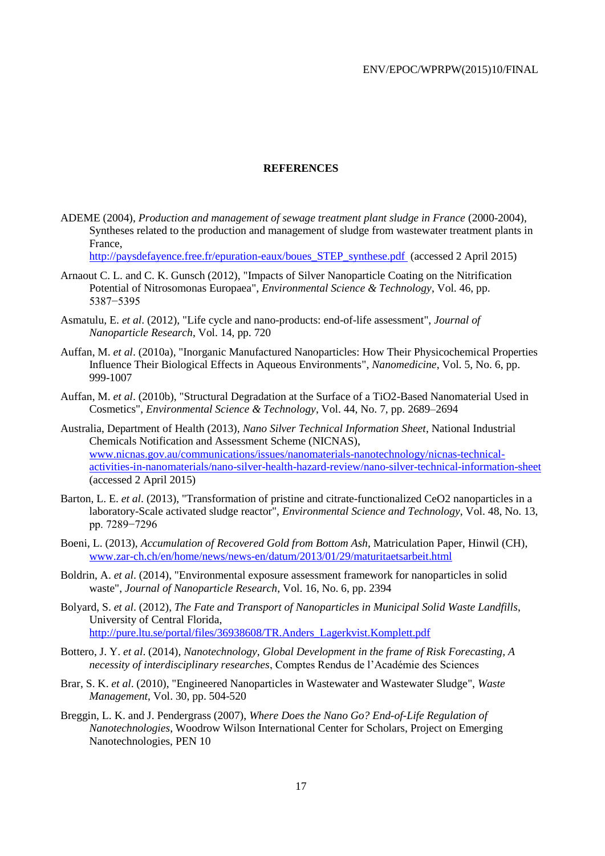#### **REFERENCES**

ADEME (2004), *Production and management of sewage treatment plant sludge in France* (2000-2004), Syntheses related to the production and management of sludge from wastewater treatment plants in France,

http://paysdefayence.free.fr/epuration-eaux/boues\_STEP\_synthese.pdf (accessed 2 April 2015)

- Arnaout C. L. and C. K. Gunsch (2012), "Impacts of Silver Nanoparticle Coating on the Nitrification Potential of Nitrosomonas Europaea", *Environmental Science & Technology*, Vol. 46, pp. 5387−5395
- Asmatulu, E. *et al*. (2012), "Life cycle and nano-products: end-of-life assessment", *Journal of Nanoparticle Research*, Vol. 14, pp. 720
- Auffan, M. *et al*. (2010a), "Inorganic Manufactured Nanoparticles: How Their Physicochemical Properties Influence Their Biological Effects in Aqueous Environments", *Nanomedicine*, Vol. 5, No. 6, pp. 999-1007
- Auffan, M. *et al*. (2010b), "Structural Degradation at the Surface of a TiO2-Based Nanomaterial Used in Cosmetics", *Environmental Science & Technology*, Vol. 44, No. 7, pp. 2689–2694
- Australia, Department of Health (2013), *Nano Silver Technical Information Sheet*, National Industrial Chemicals Notification and Assessment Scheme (NICNAS), www.nicnas.gov.au/communications/issues/nanomaterials-nanotechnology/nicnas-technicalactivities-in-nanomaterials/nano-silver-health-hazard-review/nano-silver-technical-information-sheet (accessed 2 April 2015)
- Barton, L. E. *et al*. (2013), "Transformation of pristine and citrate-functionalized CeO2 nanoparticles in a laboratory-Scale activated sludge reactor", *Environmental Science and Technology*, Vol. 48, No. 13, pp. 7289−7296
- Boeni, L. (2013), *Accumulation of Recovered Gold from Bottom Ash*, Matriculation Paper, Hinwil (CH), www.zar-ch.ch/en/home/news/news-en/datum/2013/01/29/maturitaetsarbeit.html
- Boldrin, A. *et al*. (2014), "Environmental exposure assessment framework for nanoparticles in solid waste", *Journal of Nanoparticle Research*, Vol. 16, No. 6, pp. 2394
- Bolyard, S. *et al*. (2012), *The Fate and Transport of Nanoparticles in Municipal Solid Waste Landfills*, University of Central Florida, http://pure.ltu.se/portal/files/36938608/TR.Anders\_Lagerkvist.Komplett.pdf
- Bottero, J. Y. *et al*. (2014), *Nanotechnology, Global Development in the frame of Risk Forecasting, A necessity of interdisciplinary researches*, Comptes Rendus de l'Académie des Sciences
- Brar, S. K. *et al*. (2010), "Engineered Nanoparticles in Wastewater and Wastewater Sludge", *Waste Management*, Vol. 30, pp. 504-520
- Breggin, L. K. and J. Pendergrass (2007), *Where Does the Nano Go? End-of-Life Regulation of Nanotechnologies*, Woodrow Wilson International Center for Scholars, Project on Emerging Nanotechnologies, PEN 10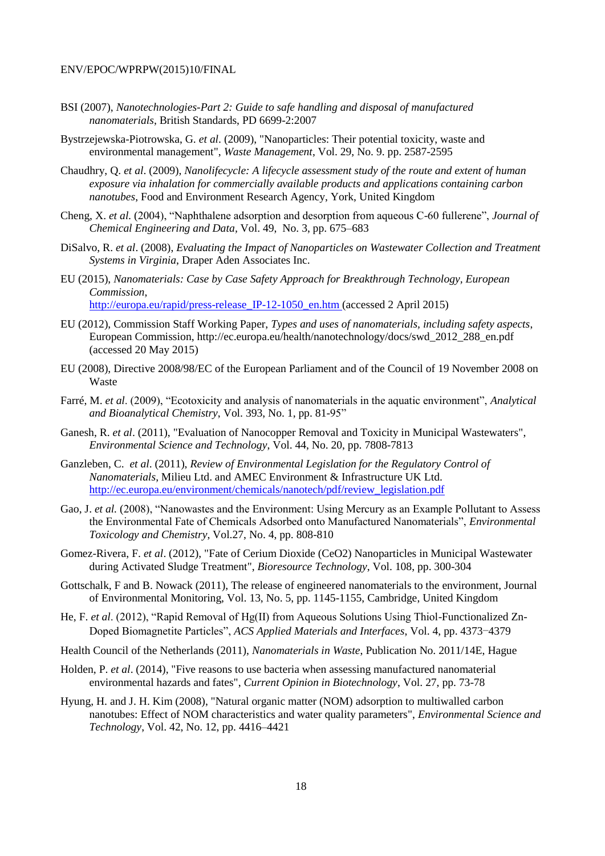- BSI (2007), *Nanotechnologies-Part 2: Guide to safe handling and disposal of manufactured nanomaterials*, British Standards, PD 6699-2:2007
- Bystrzejewska-Piotrowska, G. *et al*. (2009), "Nanoparticles: Their potential toxicity, waste and environmental management", *Waste Management*, Vol. 29, No. 9. pp. 2587-2595
- Chaudhry, Q. *et al*. (2009), *Nanolifecycle: A lifecycle assessment study of the route and extent of human exposure via inhalation for commercially available products and applications containing carbon nanotubes*, Food and Environment Research Agency, York, United Kingdom
- Cheng, X. *et al.* (2004), "Naphthalene adsorption and desorption from aqueous C-60 fullerene", *Journal of Chemical Engineering and Data,* Vol. 49, No. 3, pp. 675–683
- DiSalvo, R. *et al*. (2008), *Evaluating the Impact of Nanoparticles on Wastewater Collection and Treatment Systems in Virginia*, Draper Aden Associates Inc.
- EU (2015), *Nanomaterials: Case by Case Safety Approach for Breakthrough Technology, European Commission*, http://europa.eu/rapid/press-release\_IP-12-1050\_en.htm (accessed 2 April 2015)
- EU (2012), Commission Staff Working Paper, *Types and uses of nanomaterials, including safety aspects*, European Commission, http://ec.europa.eu/health/nanotechnology/docs/swd\_2012\_288\_en.pdf (accessed 20 May 2015)
- EU (2008), Directive 2008/98/EC of the European Parliament and of the Council of 19 November 2008 on Waste
- Farré, M. *et al*. (2009), "Ecotoxicity and analysis of nanomaterials in the aquatic environment", *Analytical and Bioanalytical Chemistry*, Vol. 393, No. 1, pp. 81-95"
- Ganesh, R. *et al*. (2011), "Evaluation of Nanocopper Removal and Toxicity in Municipal Wastewaters", *Environmental Science and Technology*, Vol. 44, No. 20, pp. 7808-7813
- Ganzleben, C. *et al*. (2011), *Review of Environmental Legislation for the Regulatory Control of Nanomaterials*, Milieu Ltd. and AMEC Environment & Infrastructure UK Ltd. http://ec.europa.eu/environment/chemicals/nanotech/pdf/review\_legislation.pdf
- Gao, J. *et al.* (2008), "Nanowastes and the Environment: Using Mercury as an Example Pollutant to Assess the Environmental Fate of Chemicals Adsorbed onto Manufactured Nanomaterials", *Environmental Toxicology and Chemistry*, Vol.27, No. 4, pp. 808-810
- Gomez-Rivera, F. *et al*. (2012), "Fate of Cerium Dioxide (CeO2) Nanoparticles in Municipal Wastewater during Activated Sludge Treatment", *Bioresource Technology*, Vol. 108, pp. 300-304
- Gottschalk, F and B. Nowack (2011), The release of engineered nanomaterials to the environment, Journal of Environmental Monitoring, Vol. 13, No. 5, pp. 1145-1155, Cambridge, United Kingdom
- He, F. *et al*. (2012), "Rapid Removal of Hg(II) from Aqueous Solutions Using Thiol-Functionalized Zn-Doped Biomagnetite Particles", *ACS Applied Materials and Interfaces*, Vol. 4, pp. 4373−4379
- Health Council of the Netherlands (2011), *Nanomaterials in Waste*, Publication No. 2011/14E, Hague
- Holden, P. *et al*. (2014), "Five reasons to use bacteria when assessing manufactured nanomaterial environmental hazards and fates", *Current Opinion in Biotechnology*, Vol. 27, pp. 73-78
- Hyung, H. and J. H. Kim (2008), "Natural organic matter (NOM) adsorption to multiwalled carbon nanotubes: Effect of NOM characteristics and water quality parameters", *Environmental Science and Technology*, Vol. 42, No. 12, pp. 4416–4421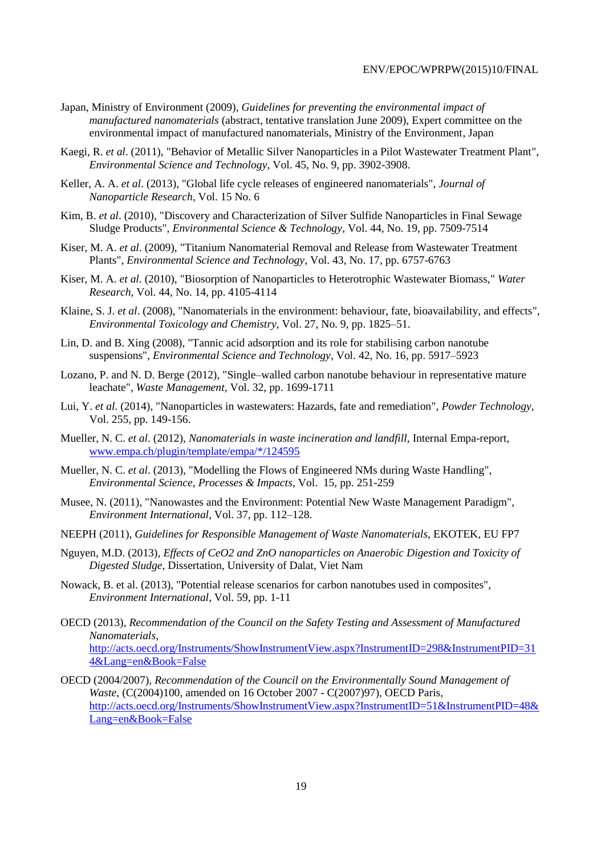- Japan, Ministry of Environment (2009), *Guidelines for preventing the environmental impact of manufactured nanomaterials* (abstract, tentative translation June 2009), Expert committee on the environmental impact of manufactured nanomaterials, Ministry of the Environment, Japan
- Kaegi, R. *et al*. (2011), "Behavior of Metallic Silver Nanoparticles in a Pilot Wastewater Treatment Plant", *Environmental Science and Technology*, Vol. 45, No. 9, pp. 3902-3908.
- Keller, A. A. *et al*. (2013), "Global life cycle releases of engineered nanomaterials", *Journal of Nanoparticle Research*, Vol. 15 No. 6
- Kim, B. *et al*. (2010), "Discovery and Characterization of Silver Sulfide Nanoparticles in Final Sewage Sludge Products", *Environmental Science & Technology*, Vol. 44, No. 19, pp. 7509-7514
- Kiser, M. A. *et al*. (2009), "Titanium Nanomaterial Removal and Release from Wastewater Treatment Plants", *Environmental Science and Technology*, Vol. 43, No. 17, pp. 6757-6763
- Kiser, M. A. *et al*. (2010), "Biosorption of Nanoparticles to Heterotrophic Wastewater Biomass," *Water Research*, Vol. 44, No. 14, pp. 4105-4114
- Klaine, S. J. *et al*. (2008), "Nanomaterials in the environment: behaviour, fate, bioavailability, and effects", *Environmental Toxicology and Chemistry*, Vol. 27, No. 9, pp. 1825–51.
- Lin, D. and B. Xing (2008), "Tannic acid adsorption and its role for stabilising carbon nanotube suspensions", *Environmental Science and Technology*, Vol. 42, No. 16, pp. 5917–5923
- Lozano, P. and N. D. Berge (2012), "Single–walled carbon nanotube behaviour in representative mature leachate", *Waste Management*, Vol. 32, pp. 1699-1711
- Lui, Y. *et al*. (2014), "Nanoparticles in wastewaters: Hazards, fate and remediation", *Powder Technology*, Vol. 255, pp. 149-156.
- Mueller, N. C. *et al*. (2012), *Nanomaterials in waste incineration and landfill*, Internal Empa-report, www.empa.ch/plugin/template/empa/\*/124595
- Mueller, N. C. *et al*. (2013), "Modelling the Flows of Engineered NMs during Waste Handling", *Environmental Science, Processes & Impacts*, Vol. 15, pp. 251-259
- Musee, N. (2011), "Nanowastes and the Environment: Potential New Waste Management Paradigm", *Environment International*, Vol. 37, pp. 112–128.
- NEEPH (2011), *Guidelines for Responsible Management of Waste Nanomaterials*, EKOTEK, EU FP7
- Nguyen, M.D. (2013), *Effects of CeO2 and ZnO nanoparticles on Anaerobic Digestion and Toxicity of Digested Sludge*, Dissertation, University of Dalat, Viet Nam
- Nowack, B. et al. (2013), "Potential release scenarios for carbon nanotubes used in composites", *Environment International*, Vol. 59, pp. 1-11
- OECD (2013), *Recommendation of the Council on the Safety Testing and Assessment of Manufactured Nanomaterials*, http://acts.oecd.org/Instruments/ShowInstrumentView.aspx?InstrumentID=298&InstrumentPID=31 4&Lang=en&Book=False
- OECD (2004/2007), *Recommendation of the Council on the Environmentally Sound Management of Waste*, (C(2004)100, amended on 16 October 2007 - C(2007)97), OECD Paris, http://acts.oecd.org/Instruments/ShowInstrumentView.aspx?InstrumentID=51&InstrumentPID=48& Lang=en&Book=False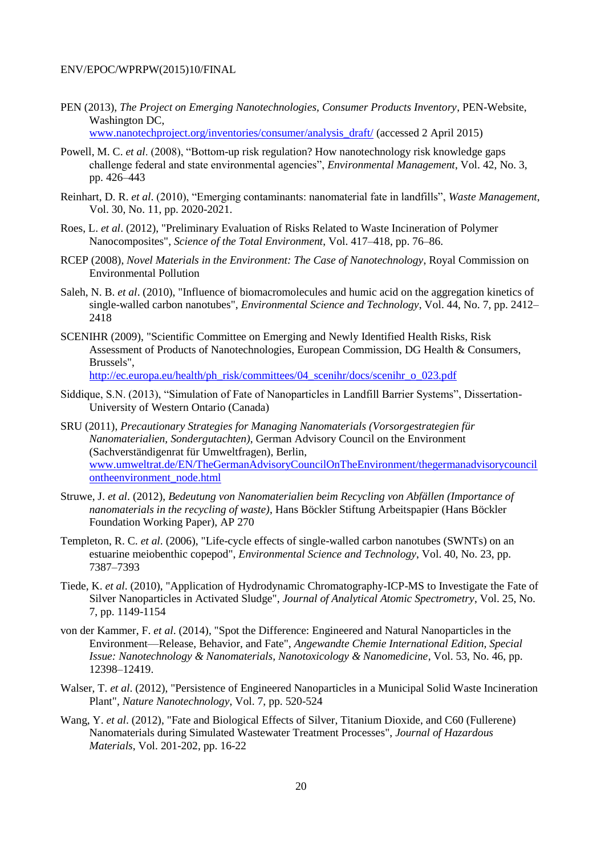PEN (2013), *The Project on Emerging Nanotechnologies, Consumer Products Inventory*, PEN-Website, Washington DC.

www.nanotechproject.org/inventories/consumer/analysis\_draft/ (accessed 2 April 2015)

- Powell, M. C. *et al*. (2008), "Bottom-up risk regulation? How nanotechnology risk knowledge gaps challenge federal and state environmental agencies", *Environmental Management*, Vol. 42, No. 3, pp. 426–443
- Reinhart, D. R. *et al*. (2010), "Emerging contaminants: nanomaterial fate in landfills", *Waste Management*, Vol. 30, No. 11, pp. 2020-2021.
- Roes, L. *et al*. (2012), "Preliminary Evaluation of Risks Related to Waste Incineration of Polymer Nanocomposites", *Science of the Total Environment*, Vol. 417–418, pp. 76–86.
- RCEP (2008), *Novel Materials in the Environment: The Case of Nanotechnology*, Royal Commission on Environmental Pollution
- Saleh, N. B. *et al*. (2010), "Influence of biomacromolecules and humic acid on the aggregation kinetics of single-walled carbon nanotubes", *Environmental Science and Technology*, Vol. 44, No. 7, pp. 2412– 2418
- SCENIHR (2009), "Scientific Committee on Emerging and Newly Identified Health Risks, Risk Assessment of Products of Nanotechnologies, European Commission, DG Health & Consumers, Brussels", http://ec.europa.eu/health/ph\_risk/committees/04\_scenihr/docs/scenihr\_o\_023.pdf
- Siddique, S.N. (2013), "Simulation of Fate of Nanoparticles in Landfill Barrier Systems", Dissertation-University of Western Ontario (Canada)
- SRU (2011), *Precautionary Strategies for Managing Nanomaterials (Vorsorgestrategien für Nanomaterialien, Sondergutachten)*, German Advisory Council on the Environment (Sachverständigenrat für Umweltfragen), Berlin, www.umweltrat.de/EN/TheGermanAdvisoryCouncilOnTheEnvironment/thegermanadvisorycouncil ontheenvironment\_node.html
- Struwe, J. *et al*. (2012), *Bedeutung von Nanomaterialien beim Recycling von Abfällen (Importance of nanomaterials in the recycling of waste)*, Hans Böckler Stiftung Arbeitspapier (Hans Böckler Foundation Working Paper), AP 270
- Templeton, R. C. *et al*. (2006), "Life-cycle effects of single-walled carbon nanotubes (SWNTs) on an estuarine meiobenthic copepod", *Environmental Science and Technology*, Vol. 40, No. 23, pp. 7387–7393
- Tiede, K. *et al*. (2010), "Application of Hydrodynamic Chromatography-ICP-MS to Investigate the Fate of Silver Nanoparticles in Activated Sludge", *Journal of Analytical Atomic Spectrometry*, Vol. 25, No. 7, pp. 1149-1154
- von der Kammer, F. *et al*. (2014), "Spot the Difference: Engineered and Natural Nanoparticles in the Environment—Release, Behavior, and Fate", *Angewandte Chemie International Edition, Special Issue: Nanotechnology & Nanomaterials, Nanotoxicology & Nanomedicine*, Vol. 53, No. 46, pp. 12398–12419.
- Walser, T. *et al*. (2012), "Persistence of Engineered Nanoparticles in a Municipal Solid Waste Incineration Plant", *Nature Nanotechnology*, Vol. 7, pp. 520-524
- Wang, Y. *et al*. (2012), "Fate and Biological Effects of Silver, Titanium Dioxide, and C60 (Fullerene) Nanomaterials during Simulated Wastewater Treatment Processes", *Journal of Hazardous Materials*, Vol. 201-202, pp. 16-22